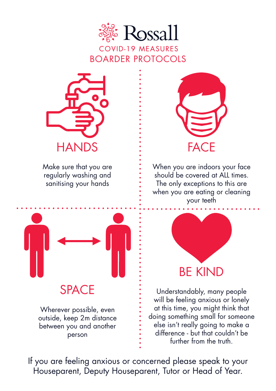



Make sure that you are regularly washing and sanitising your hands



When you are indoors your face should be covered at ALL times. The only exceptions to this are when you are eating or cleaning your teeth



SPACE

Wherever possible, even outside, keep 2m distance between you and another person



Understandably, many people will be feeling anxious or lonely at this time, you might think that doing something small for someone else isn't really going to make a difference - but that couldn't be further from the truth.

If you are feeling anxious or concerned please speak to your Houseparent, Deputy Houseparent, Tutor or Head of Year.